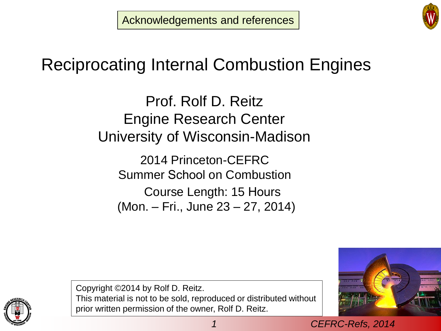Acknowledgements and references



# Reciprocating Internal Combustion Engines

Prof. Rolf D. Reitz Engine Research Center University of Wisconsin-Madison

2014 Princeton-CEFRC Summer School on Combustion Course Length: 15 Hours (Mon. – Fri., June 23 – 27, 2014)



Copyright ©2014 by Rolf D. Reitz. This material is not to be sold, reproduced or distributed without prior written permission of the owner, Rolf D. Reitz.

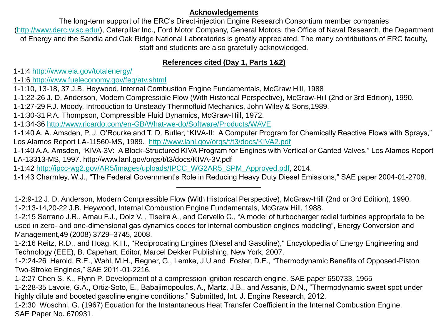#### **Acknowledgements**

The long-term support of the ERC's Direct-injection Engine Research Consortium member companies [\(http://www.derc.wisc.edu/\)](http://www.derc.wisc.edu/), Caterpillar Inc., Ford Motor Company, General Motors, the Office of Naval Research, the Department of Energy and the Sandia and Oak Ridge National Laboratories is greatly appreciated. The many contributions of ERC faculty, staff and students are also gratefully acknowledged.

# **References cited (Day 1, Parts 1&2)**

1-1:4 <http://www.eia.gov/totalenergy/>

1-1:6 <http://www.fueleconomy.gov/feg/atv.shtml>

1-1:10, 13-18, 37 J.B. Heywood, Internal Combustion Engine Fundamentals, McGraw Hill, 1988

1-1:22-26 J. D. Anderson, Modern Compressible Flow (With Historical Perspective), McGraw-Hill (2nd or 3rd Edition), 1990.

1-1:27-29 F.J. Moody, Introduction to Unsteady Thermofluid Mechanics, John Wiley & Sons,1989.

1-1:30-31 P.A. Thompson, Compressible Fluid Dynamics, McGraw-Hill, 1972.

1-1:34-36 <http://www.ricardo.com/en-GB/What-we-do/Software/Products/WAVE>

1-1:40 A. A. Amsden, P. J. O'Rourke and T. D. Butler, "KIVA-II: A Computer Program for Chemically Reactive Flows with Sprays," Los Alamos Report LA-11560-MS, 1989. <http://www.lanl.gov/orgs/t/t3/docs/KIVA2.pdf>

1-1:40 A.A. Amsden, "KIVA-3V: A Block-Structured KIVA Program for Engines with Vertical or Canted Valves," Los Alamos Report LA-13313-MS, 1997. http://www.lanl.gov/orgs/t/t3/docs/KIVA-3V.pdf

1-1:42 [http://ipcc-wg2.gov/AR5/images/uploads/IPCC\\_WG2AR5\\_SPM\\_Approved.pdf,](http://ipcc-wg2.gov/AR5/images/uploads/IPCC_WG2AR5_SPM_Approved.pdf) 2014.

1-1:43 Charmley, W.J., "The Federal Government's Role in Reducing Heavy Duty Diesel Emissions," SAE paper 2004-01-2708.

<sup>1-2:9-12</sup> J. D. Anderson, Modern Compressible Flow (With Historical Perspective), McGraw-Hill (2nd or 3rd Edition), 1990. 1-2:13-14,20-22 J.B. Heywood, Internal Combustion Engine Fundamentals, McGraw Hill, 1988.

<sup>1-2:15</sup> Serrano J.R., Arnau F.J., Dolz V. , Tiseira A., and Cervello C., "A model of turbocharger radial turbines appropriate to be used in zero- and one-dimensional gas dynamics codes for internal combustion engines modeling", Energy Conversion and Management,49 (2008) 3729–3745, 2008.

<sup>1-2:16</sup> Reitz, R.D., and Hoag, K.H., "Reciprocating Engines (Diesel and Gasoline)," Encyclopedia of Energy Engineering and Technology (EEE), B. Capehart, Editor, Marcel Dekker Publishing, New York, 2007.

<sup>1-2:24-26</sup> Herold, R.E., Wahl, M.H., Regner, G., Lemke, J.U and Foster, D.E., "Thermodynamic Benefits of Opposed-Piston Two-Stroke Engines," SAE 2011-01-2216.

<sup>1-2:27</sup> Chen S. K., Flynn P. Development of a compression ignition research engine. SAE paper 650733, 1965

<sup>1-2:28-35</sup> Lavoie, G.A., Ortiz-Soto, E., Babajimopoulos, A., Martz, J.B., and Assanis, D.N., "Thermodynamic sweet spot under highly dilute and boosted gasoline engine conditions," Submitted, Int. J. Engine Research, 2012.

<sup>1-2:30</sup> Woschni, G. (1967) Equation for the Instantaneous Heat Transfer Coefficient in the Internal Combustion Engine. SAE Paper No. 670931.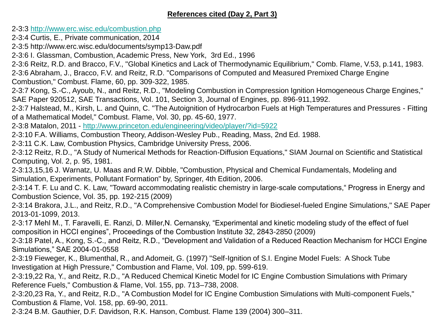# **References cited (Day 2, Part 3)**

2-3:3 <http://www.erc.wisc.edu/combustion.php>

- 2-3:4 Curtis, E., Private communication, 2014
- 2-3:5 http://www.erc.wisc.edu/documents/symp13-Daw.pdf
- 2-3:6 I. Glassman, Combustion, Academic Press, New York, 3rd Ed., 1996
- 2-3:6 Reitz, R.D. and Bracco, F.V., "Global Kinetics and Lack of Thermodynamic Equilibrium," Comb. Flame, V.53, p.141, 1983.
- 2-3:6 Abraham, J., Bracco, F.V. and Reitz, R.D. "Comparisons of Computed and Measured Premixed Charge Engine
- Combustion," Combust. Flame, 60, pp. 309-322, 1985.
- 2-3:7 Kong, S.-C., Ayoub, N., and Reitz, R.D., "Modeling Combustion in Compression Ignition Homogeneous Charge Engines," SAE Paper 920512, SAE Transactions, Vol. 101, Section 3, Journal of Engines, pp. 896-911,1992.
- 2-3:7 Halstead, M., Kirsh, L. and Quinn, C. "The Autoignition of Hydrocarbon Fuels at High Temperatures and Pressures Fitting of a Mathematical Model," Combust. Flame, Vol. 30, pp. 45-60, 1977.
- 2-3:8 Matalon, 2011 <http://www.princeton.edu/engineering/video/player/?id=5922>
- 2-3:10 F.A. Williams, Combustion Theory, Addison-Wesley Pub., Reading, Mass, 2nd Ed. 1988.
- 2-3:11 C.K. Law, Combustion Physics, Cambridge University Press, 2006.
- 2-3:12 Reitz, R.D., "A Study of Numerical Methods for Reaction-Diffusion Equations," SIAM Journal on Scientific and Statistical Computing, Vol. 2, p. 95, 1981.
- 2-3:13,15,16 J. Warnatz, U. Maas and R.W. Dibble, "Combustion, Physical and Chemical Fundamentals, Modeling and Simulation, Experiments, Pollutant Formation" by, Springer, 4th Edition, 2006.
- 2-3:14 T. F. Lu and C. K. Law, "Toward accommodating realistic chemistry in large-scale computations," Progress in Energy and Combustion Science, Vol. 35, pp. 192-215 (2009)
- 2-3:14 Brakora, J.L., and Reitz, R.D., "A Comprehensive Combustion Model for Biodiesel-fueled Engine Simulations," SAE Paper 2013-01-1099, 2013.
- 2-3:17 Mehl M., T. Faravelli, E. Ranzi, D. Miller,N. Cernansky, "Experimental and kinetic modeling study of the effect of fuel composition in HCCI engines", Proceedings of the Combustion Institute 32, 2843-2850 (2009)
- 2-3:18 Patel, A., Kong, S.-C., and Reitz, R.D., "Development and Validation of a Reduced Reaction Mechanism for HCCI Engine Simulations," SAE 2004-01-0558
- 2-3:19 Fieweger, K., Blumenthal, R., and Adomeit, G. (1997) "Self-Ignition of S.I. Engine Model Fuels: A Shock Tube Investigation at High Pressure," Combustion and Flame, Vol. 109, pp. 599-619.
- 2-3:19,22 Ra, Y., and Reitz, R.D., "A Reduced Chemical Kinetic Model for IC Engine Combustion Simulations with Primary Reference Fuels," Combustion & Flame, Vol. 155, pp. 713–738, 2008.
- 2-3:20,23 Ra, Y., and Reitz, R.D., "A Combustion Model for IC Engine Combustion Simulations with Multi-component Fuels," Combustion & Flame, Vol. 158, pp. 69-90, 2011.
- 2-3:24 B.M. Gauthier, D.F. Davidson, R.K. Hanson, Combust. Flame 139 (2004) 300–311.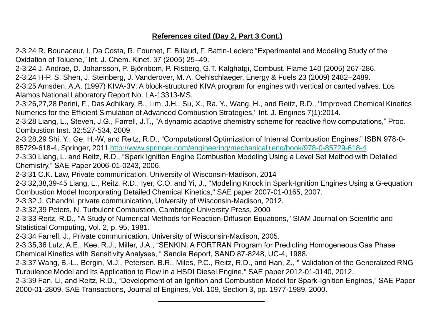# **References cited (Day 2, Part 3 Cont.)**

2-3:24 R. Bounaceur, I. Da Costa, R. Fournet, F. Billaud, F. Battin-Leclerc "Experimental and Modeling Study of the Oxidation of Toluene," Int. J. Chem. Kinet. 37 (2005) 25–49.

2-3:24 J. Andrae, D. Johansson, P. Björnbom, P. Risberg, G.T. Kalghatgi, Combust. Flame 140 (2005) 267-286.

2-3:24 H-P. S. Shen, J. Steinberg, J. Vanderover, M. A. Oehlschlaeger, Energy & Fuels 23 (2009) 2482–2489.

2-3:25 Amsden, A.A. (1997) KIVA-3V: A block-structured KIVA program for engines with vertical or canted valves. Los Alamos National Laboratory Report No. LA-13313-MS.

2-3:26,27,28 Perini, F., Das Adhikary, B., Lim, J.H., Su, X., Ra, Y., Wang, H., and Reitz, R.D., "Improved Chemical Kinetics Numerics for the Efficient Simulation of Advanced Combustion Strategies," Int. J. Engines 7(1):2014.

2-3:28 Liang, L., Steven, J.G., Farrell, J.T., "A dynamic adaptive chemistry scheme for reactive flow computations," Proc. Combustion Inst. 32:527-534, 2009

2-3:28,29 Shi, Y., Ge, H.-W, and Reitz, R.D., "Computational Optimization of Internal Combustion Engines," ISBN 978-0- 85729-618-4, Springer, 2011<http://www.springer.com/engineering/mechanical+eng/book/978-0-85729-618-4>

2-3:30 Liang, L. and Reitz, R.D., "Spark Ignition Engine Combustion Modeling Using a Level Set Method with Detailed Chemistry," SAE Paper 2006-01-0243, 2006.

2-3:31 C.K. Law, Private communication, University of Wisconsin-Madison, 2014

2-3:32,38,39-45 Liang, L., Reitz, R.D., Iyer, C.O. and Yi, J., "Modeling Knock in Spark-Ignition Engines Using a G-equation Combustion Model Incorporating Detailed Chemical Kinetics," SAE paper 2007-01-0165, 2007.

2-3:32 J. Ghandhi, private communication, University of Wisconsin-Madison, 2012.

2-3:32,39 Peters, N. Turbulent Combustion, Cambridge University Press, 2000

2-3:33 Reitz, R.D., "A Study of Numerical Methods for Reaction-Diffusion Equations," SIAM Journal on Scientific and Statistical Computing, Vol. 2, p. 95, 1981.

2-3:34 Farrell, J., Private communication, University of Wisconsin-Madison, 2005.

2-3:35,36 Lutz, A.E., Kee, R.J., Miller, J.A., "SENKIN: A FORTRAN Program for Predicting Homogeneous Gas Phase Chemical Kinetics with Sensitivity Analyses, " Sandia Report, SAND 87-8248, UC-4, 1988.

2-3:37 Wang, B.-L., Bergin, M.J., Petersen, B.R., Miles, P.C., Reitz, R.D., and Han, Z., " Validation of the Generalized RNG Turbulence Model and Its Application to Flow in a HSDI Diesel Engine," SAE paper 2012-01-0140, 2012.

2-3:39 Fan, Li, and Reitz, R.D., "Development of an Ignition and Combustion Model for Spark-Ignition Engines," SAE Paper 2000-01-2809, SAE Transactions, Journal of Engines, Vol. 109, Section 3, pp. 1977-1989, 2000.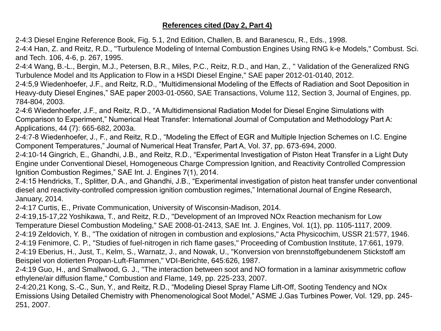# **References cited (Day 2, Part 4)**

2-4:3 Diesel Engine Reference Book, Fig. 5.1, 2nd Edition, Challen, B. and Baranescu, R., Eds., 1998.

2-4:4 Han, Z. and Reitz, R.D., "Turbulence Modeling of Internal Combustion Engines Using RNG k-e Models," Combust. Sci. and Tech. 106, 4-6, p. 267, 1995.

2-4:4 Wang, B.-L., Bergin, M.J., Petersen, B.R., Miles, P.C., Reitz, R.D., and Han, Z., " Validation of the Generalized RNG Turbulence Model and Its Application to Flow in a HSDI Diesel Engine," SAE paper 2012-01-0140, 2012.

2-4:5,9 Wiedenhoefer, J.F., and Reitz, R.D., "Multidimensional Modeling of the Effects of Radiation and Soot Deposition in Heavy-duty Diesel Engines," SAE paper 2003-01-0560, SAE Transactions, Volume 112, Section 3, Journal of Engines, pp. 784-804, 2003.

2-4:6 Wiedenhoefer, J.F., and Reitz, R.D., "A Multidimensional Radiation Model for Diesel Engine Simulations with Comparison to Experiment," Numerical Heat Transfer: International Journal of Computation and Methodology Part A: Applications, 44 (7): 665-682, 2003a.

2-4:7-8 Wiedenhoefer, J., F., and Reitz, R.D., "Modeling the Effect of EGR and Multiple Injection Schemes on I.C. Engine Component Temperatures," Journal of Numerical Heat Transfer, Part A, Vol. 37, pp. 673-694, 2000.

2-4:10-14 Gingrich, E., Ghandhi, J.B., and Reitz, R.D., "Experimental Investigation of Piston Heat Transfer in a Light Duty Engine under Conventional Diesel, Homogeneous Charge Compression Ignition, and Reactivity Controlled Compression Ignition Combustion Regimes," SAE Int. J. Engines 7(1), 2014.

2-4:15 Hendricks, T., Splitter, D.A., and Ghandhi, J.B., "Experimental investigation of piston heat transfer under conventional diesel and reactivity-controlled compression ignition combustion regimes," International Journal of Engine Research, January, 2014.

2-4:17 Curtis, E., Private Communication, University of Wisconsin-Madison, 2014.

2-4:19,15-17,22 Yoshikawa, T., and Reitz, R.D., "Development of an Improved NOx Reaction mechanism for Low Temperature Diesel Combustion Modeling," SAE 2008-01-2413, SAE Int. J. Engines, Vol. 1(1), pp. 1105-1117, 2009. 2-4:19 Zeldovich, Y. B., "The oxidation of nitrogen in combustion and explosions," Acta Physicochim, USSR 21:577, 1946. 2-4:19 Fenimore, C. P., "Studies of fuel-nitrogen in rich flame gases," Proceeding of Combustion Institute, 17:661, 1979. 2-4:19 Eberius, H., Just, T., Kelm, S., Warnatz, J., and Nowak, U., "Konversion von brennstoffgebundenem Stickstoff am Beispiel von dotierten Propan-Luft-Flammen," VDI-Berichte, 645:626, 1987.

2-4:19 Guo, H., and Smallwood, G. J., "The interaction between soot and NO formation in a laminar axisymmetric coflow ethylene/air diffusion flame," Combustion and Flame, 149, pp. 225-233, 2007.

2-4:20,21 Kong, S.-C., Sun, Y., and Reitz, R.D., "Modeling Diesel Spray Flame Lift-Off, Sooting Tendency and NOx Emissions Using Detailed Chemistry with Phenomenological Soot Model," ASME J.Gas Turbines Power, Vol. 129, pp. 245- 251, 2007.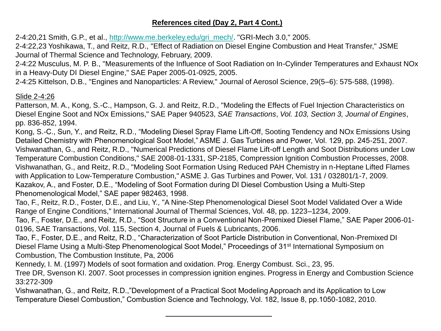## **References cited (Day 2, Part 4 Cont.)**

2-4:20,21 Smith, G.P., et al., [http://www.me.berkeley.edu/gri\\_mech/](http://www.me.berkeley.edu/gri_mech/). "GRI-Mech 3.0," 2005.

2-4:22,23 Yoshikawa, T., and Reitz, R.D., "Effect of Radiation on Diesel Engine Combustion and Heat Transfer," JSME Journal of Thermal Science and Technology, February, 2009.

2-4:22 Musculus, M. P. B., "Measurements of the Influence of Soot Radiation on In-Cylinder Temperatures and Exhaust NOx in a Heavy-Duty DI Diesel Engine," SAE Paper 2005-01-0925, 2005.

2-4:25 Kittelson, D.B., "Engines and Nanoparticles: A Review," Journal of Aerosol Science, 29(5–6): 575-588, (1998).

#### Slide 2-4:26

Patterson, M. A., Kong, S.-C., Hampson, G. J. and Reitz, R.D., "Modeling the Effects of Fuel Injection Characteristics on Diesel Engine Soot and NOx Emissions," SAE Paper 940523, *SAE Transactions*, *Vol. 103, Section 3, Journal of Engines*, pp. 836-852, 1994.

Kong, S.-C., Sun, Y., and Reitz, R.D., "Modeling Diesel Spray Flame Lift-Off, Sooting Tendency and NOx Emissions Using Detailed Chemistry with Phenomenological Soot Model," ASME J. Gas Turbines and Power, Vol. 129, pp. 245-251, 2007. Vishwanathan, G., and Reitz, R.D., "Numerical Predictions of Diesel Flame Lift-off Length and Soot Distributions under Low Temperature Combustion Conditions," SAE 2008-01-1331, SP-2185, Compression Ignition Combustion Processes, 2008. Vishwanathan, G., and Reitz, R.D., "Modeling Soot Formation Using Reduced PAH Chemistry in n-Heptane Lifted Flames with Application to Low-Temperature Combustion," ASME J. Gas Turbines and Power, Vol. 131 / 032801/1-7, 2009. Kazakov, A., and Foster, D.E., "Modeling of Soot Formation during DI Diesel Combustion Using a Multi-Step Phenomenological Model," SAE paper 982463, 1998.

Tao, F., Reitz, R.D., Foster, D.E., and Liu, Y., "A Nine-Step Phenomenological Diesel Soot Model Validated Over a Wide Range of Engine Conditions," International Journal of Thermal Sciences, Vol. 48, pp. 1223–1234, 2009.

Tao, F., Foster, D.E., and Reitz, R.D., "Soot Structure in a Conventional Non-Premixed Diesel Flame," SAE Paper 2006-01- 0196, SAE Transactions, Vol. 115, Section 4, Journal of Fuels & Lubricants, 2006.

Tao, F., Foster, D.E., and Reitz, R.D., "Characterization of Soot Particle Distribution in Conventional, Non-Premixed DI Diesel Flame Using a Multi-Step Phenomenological Soot Model," Proceedings of 31<sup>st</sup> International Symposium on Combustion, The Combustion Institute, Pa, 2006

Kennedy, I. M. (1997) Models of soot formation and oxidation. Prog. Energy Combust. Sci., 23, 95.

Tree DR, Svenson KI. 2007. Soot processes in compression ignition engines. Progress in Energy and Combustion Science 33:272-309

Vishwanathan, G., and Reitz, R.D.,"Development of a Practical Soot Modeling Approach and its Application to Low Temperature Diesel Combustion," Combustion Science and Technology, Vol. 182, Issue 8, pp.1050-1082, 2010.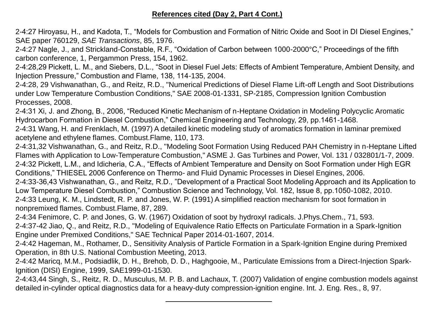# **References cited (Day 2, Part 4 Cont.)**

2-4:27 Hiroyasu, H., and Kadota, T., "Models for Combustion and Formation of Nitric Oxide and Soot in DI Diesel Engines," SAE paper 760129, *SAE Transactions*, 85, 1976.

2-4:27 Nagle, J., and Strickland-Constable, R.F., "Oxidation of Carbon between 1000-2000°C," Proceedings of the fifth carbon conference, 1, Pergammon Press, 154, 1962.

2-4:28,29 Pickett, L. M., and Siebers, D.L., "Soot in Diesel Fuel Jets: Effects of Ambient Temperature, Ambient Density, and Injection Pressure," Combustion and Flame, 138, 114-135, 2004.

2-4:28, 29 Vishwanathan, G., and Reitz, R.D., "Numerical Predictions of Diesel Flame Lift-off Length and Soot Distributions under Low Temperature Combustion Conditions," SAE 2008-01-1331, SP-2185, Compression Ignition Combustion Processes, 2008.

2-4:31 Xi, J. and Zhong, B., 2006, "Reduced Kinetic Mechanism of n-Heptane Oxidation in Modeling Polycyclic Aromatic Hydrocarbon Formation in Diesel Combustion," Chemical Engineering and Technology, 29, pp.1461-1468.

2-4:31 Wang, H. and Frenklach, M. (1997) A detailed kinetic modeling study of aromatics formation in laminar premixed acetylene and ethylene flames. Combust.Flame, 110, 173.

2-4:31,32 Vishwanathan, G., and Reitz, R.D., "Modeling Soot Formation Using Reduced PAH Chemistry in n-Heptane Lifted Flames with Application to Low-Temperature Combustion," ASME J. Gas Turbines and Power, Vol. 131 / 032801/1-7, 2009. 2-4:32 Pickett, L.M., and Idicheria, C.A., "Effects of Ambient Temperature and Density on Soot Formation under High EGR Conditions," THIESEL 2006 Conference on Thermo- and Fluid Dynamic Processes in Diesel Engines, 2006. 2-4:33-36,43 Vishwanathan, G., and Reitz, R.D., "Development of a Practical Soot Modeling Approach and its Application to Low Temperature Diesel Combustion," Combustion Science and Technology, Vol. 182, Issue 8, pp.1050-1082, 2010.

2-4:33 Leung, K. M., Lindstedt, R. P. and Jones, W. P. (1991) A simplified reaction mechanism for soot formation in nonpremixed flames. Combust.Flame, 87, 289.

2-4:34 Fenimore, C. P. and Jones, G. W. (1967) Oxidation of soot by hydroxyl radicals. J.Phys.Chem., 71, 593.

2-4:37-42 Jiao, Q., and Reitz, R.D., "Modeling of Equivalence Ratio Effects on Particulate Formation in a Spark-Ignition Engine under Premixed Conditions," SAE Technical Paper 2014-01-1607, 2014.

2-4:42 Hageman, M., Rothamer, D., Sensitivity Analysis of Particle Formation in a Spark-Ignition Engine during Premixed Operation, in 8th U.S. National Combustion Meeting, 2013.

2-4:42 Maricq, M.M., Podsiadlik, D. H., Brehob, D. D., Haghgooie, M., Particulate Emissions from a Direct-Injection Spark-Ignition (DISI) Engine, 1999, SAE1999-01-1530.

2-4:43,44 Singh, S., Reitz, R. D., Musculus, M. P. B. and Lachaux, T. (2007) Validation of engine combustion models against detailed in-cylinder optical diagnostics data for a heavy-duty compression-ignition engine. Int. J. Eng. Res., 8, 97.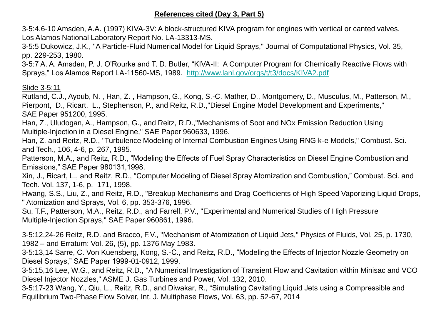## **References cited (Day 3, Part 5)**

3-5:4,6-10 Amsden, A.A. (1997) KIVA-3V: A block-structured KIVA program for engines with vertical or canted valves. Los Alamos National Laboratory Report No. LA-13313-MS.

3-5:5 Dukowicz, J.K., "A Particle-Fluid Numerical Model for Liquid Sprays," Journal of Computational Physics, Vol. 35, pp. 229-253, 1980.

3-5:7 A. A. Amsden, P. J. O'Rourke and T. D. Butler, "KIVA-II: A Computer Program for Chemically Reactive Flows with Sprays," Los Alamos Report LA-11560-MS, 1989. <http://www.lanl.gov/orgs/t/t3/docs/KIVA2.pdf>

#### Slide 3-5:11

Rutland, C.J., Ayoub, N. , Han, Z. , Hampson, G., Kong, S.-C. Mather, D., Montgomery, D., Musculus, M., Patterson, M., Pierpont, D., Ricart, L., Stephenson, P., and Reitz, R.D.,"Diesel Engine Model Development and Experiments," SAE Paper 951200, 1995.

Han, Z., Uludogan, A., Hampson, G., and Reitz, R.D.,"Mechanisms of Soot and NOx Emission Reduction Using Multiple-Injection in a Diesel Engine," SAE Paper 960633, 1996.

Han, Z. and Reitz, R.D., "Turbulence Modeling of Internal Combustion Engines Using RNG k-e Models," Combust. Sci. and Tech., 106, 4-6, p. 267, 1995.

Patterson, M.A., and Reitz, R.D., "Modeling the Effects of Fuel Spray Characteristics on Diesel Engine Combustion and Emissions," SAE Paper 980131,1998.

Xin, J., Ricart, L., and Reitz, R.D., "Computer Modeling of Diesel Spray Atomization and Combustion," Combust. Sci. and Tech. Vol. 137, 1-6, p. 171, 1998.

Hwang, S.S., Liu, Z., and Reitz, R.D., "Breakup Mechanisms and Drag Coefficients of High Speed Vaporizing Liquid Drops, " Atomization and Sprays, Vol. 6, pp. 353-376, 1996.

Su, T.F., Patterson, M.A., Reitz, R.D., and Farrell, P.V., "Experimental and Numerical Studies of High Pressure Multiple-Injection Sprays," SAE Paper 960861, 1996.

3-5:12,24-26 Reitz, R.D. and Bracco, F.V., "Mechanism of Atomization of Liquid Jets," Physics of Fluids, Vol. 25, p. 1730, 1982 – and Erratum: Vol. 26, (5), pp. 1376 May 1983.

3-5:13,14 Sarre, C. Von Kuensberg, Kong, S.-C., and Reitz, R.D., "Modeling the Effects of Injector Nozzle Geometry on Diesel Sprays," SAE Paper 1999-01-0912, 1999.

3-5:15,16 Lee, W.G., and Reitz, R.D., "A Numerical Investigation of Transient Flow and Cavitation within Minisac and VCO Diesel Injector Nozzles," ASME J. Gas Turbines and Power, Vol. 132, 2010.

3-5:17-23 Wang, Y., Qiu, L., Reitz, R.D., and Diwakar, R., "Simulating Cavitating Liquid Jets using a Compressible and Equilibrium Two-Phase Flow Solver, Int. J. Multiphase Flows, Vol. 63, pp. 52-67, 2014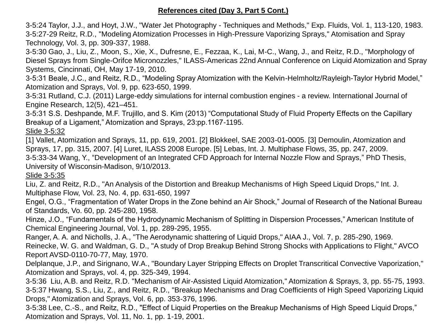3-5:24 Taylor, J.J., and Hoyt, J.W., "Water Jet Photography - Techniques and Methods," Exp. Fluids, Vol. 1, 113-120, 1983. 3-5:27-29 Reitz, R.D., "Modeling Atomization Processes in High-Pressure Vaporizing Sprays," Atomisation and Spray Technology, Vol. 3, pp. 309-337, 1988.

3-5:30 Gao, J., Liu, Z., Moon, S., Xie, X., Dufresne, E., Fezzaa, K., Lai, M-C., Wang, J., and Reitz, R.D., "Morphology of Diesel Sprays from Single-Orifce Micronozzles," ILASS-Americas 22nd Annual Conference on Liquid Atomization and Spray Systems, Cincinnati, OH, May 17-19, 2010.

3-5:31 Beale, J.C., and Reitz, R.D., "Modeling Spray Atomization with the Kelvin-Helmholtz/Rayleigh-Taylor Hybrid Model," Atomization and Sprays, Vol. 9, pp. 623-650, 1999.

3-5:31 Rutland, C.J. (2011) Large-eddy simulations for internal combustion engines - a review. International Journal of Engine Research, 12(5), 421–451.

3-5:31 S.S. Deshpande, M.F. Trujillo, and S. Kim (2013) "Computational Study of Fluid Property Effects on the Capillary Breakup of a Ligament," Atomization and Sprays, 23:pp.1167-1195.

Slide 3-5:32

[1] Vallet, Atomization and Sprays, 11, pp. 619, 2001. [2] Blokkeel, SAE 2003-01-0005. [3] Demoulin, Atomization and Sprays, 17, pp. 315, 2007. [4] Luret, ILASS 2008 Europe. [5] Lebas, Int. J. Multiphase Flows, 35, pp. 247, 2009. 3-5:33-34 Wang, Y., "Development of an Integrated CFD Approach for Internal Nozzle Flow and Sprays," PhD Thesis, University of Wisconsin-Madison, 9/10/2013.

Slide 3-5:35

Liu, Z. and Reitz, R.D., "An Analysis of the Distortion and Breakup Mechanisms of High Speed Liquid Drops," Int. J. Multiphase Flow, Vol. 23, No. 4, pp. 631-650, 1997

Engel, O.G., "Fragmentation of Water Drops in the Zone behind an Air Shock," Journal of Research of the National Bureau of Standards, Vo. 60, pp. 245-280, 1958.

Hinze, J.O., "Fundamentals of the Hydrodynamic Mechanism of Splitting in Dispersion Processes," American Institute of Chemical Engineering Journal, Vol. 1, pp. 289-295, 1955.

Ranger, A. A. and Nicholls, J. A., "The Aerodynamic shattering of Liquid Drops," AIAA J., Vol. 7, p. 285-290, 1969.

Reinecke, W. G. and Waldman, G. D., "A study of Drop Breakup Behind Strong Shocks with Applications to Flight," AVCO Report AVSD-0110-70-77, May, 1970.

Delplanque, J.P., and Sirignano, W.A., "Boundary Layer Stripping Effects on Droplet Transcritical Convective Vaporization,'' Atomization and Sprays, vol. 4, pp. 325-349, 1994.

3-5:36 Liu, A.B. and Reitz, R.D. "Mechanism of Air-Assisted Liquid Atomization," Atomization & Sprays, 3, pp. 55-75, 1993. 3-5:37 Hwang, S.S., Liu, Z., and Reitz, R.D., "Breakup Mechanisms and Drag Coefficients of High Speed Vaporizing Liquid Drops," Atomization and Sprays, Vol. 6, pp. 353-376, 1996.

3-5:38 Lee, C.-S., and Reitz, R.D., "Effect of Liquid Properties on the Breakup Mechanisms of High Speed Liquid Drops," Atomization and Sprays, Vol. 11, No. 1, pp. 1-19, 2001.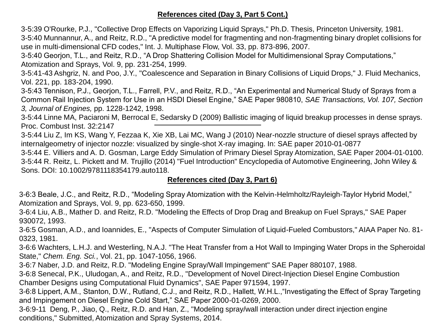# **References cited (Day 3, Part 5 Cont.)**

3-5:39 O'Rourke, P.J., "Collective Drop Effects on Vaporizing Liquid Sprays," Ph.D. Thesis, Princeton University, 1981.

3-5:40 Munnannur, A., and Reitz, R.D., "A predictive model for fragmenting and non-fragmenting binary droplet collisions for use in multi-dimensional CFD codes," Int. J. Multiphase Flow, Vol. 33, pp. 873-896, 2007.

3-5:40 Georjon, T.L., and Reitz, R.D., "A Drop Shattering Collision Model for Multidimensional Spray Computations,"

Atomization and Sprays, Vol. 9, pp. 231-254, 1999.

3-5:41-43 Ashgriz, N. and Poo, J.Y., "Coalescence and Separation in Binary Collisions of Liquid Drops," J. Fluid Mechanics, Vol. 221, pp. 183-204, 1990.

3-5:43 Tennison, P.J., Georjon, T.L., Farrell, P.V., and Reitz, R.D., "An Experimental and Numerical Study of Sprays from a Common Rail Injection System for Use in an HSDI Diesel Engine," SAE Paper 980810, *SAE Transactions, Vol. 107, Section 3, Journal of Engines,* pp. 1228-1242, 1998.

3-5:44 Linne MA, Paciaroni M, Berrocal E, Sedarsky D (2009) Ballistic imaging of liquid breakup processes in dense sprays. Proc. Combust Inst. 32:2147

3-5:44 Liu Z, Im KS, Wang Y, Fezzaa K, Xie XB, Lai MC, Wang J (2010) Near-nozzle structure of diesel sprays affected by internalgeometry of injector nozzle: visualized by single-shot X-ray imaging. In: SAE paper 2010-01-0877

3-5:44 E. Villiers and A. D. Gosman, Large Eddy Simulation of Primary Diesel Spray Atomization, SAE Paper 2004-01-0100. 3-5:44 R. Reitz, L. Pickett and M. Trujillo (2014) "Fuel Introduction" Encyclopedia of Automotive Engineering, John Wiley & Sons. DOI: 10.1002/9781118354179.auto118.

# **References cited (Day 3, Part 6)**

3-6:3 Beale, J.C., and Reitz, R.D., "Modeling Spray Atomization with the Kelvin-Helmholtz/Rayleigh-Taylor Hybrid Model," Atomization and Sprays, Vol. 9, pp. 623-650, 1999.

3-6:4 Liu, A.B., Mather D. and Reitz, R.D. "Modeling the Effects of Drop Drag and Breakup on Fuel Sprays," SAE Paper 930072, 1993.

3-6:5 Gosman, A.D., and Ioannides, E., "Aspects of Computer Simulation of Liquid-Fueled Combustors," AIAA Paper No. 81- 0323, 1981.

3-6:6 Wachters, L.H.J. and Westerling, N.A.J. "The Heat Transfer from a Hot Wall to Impinging Water Drops in the Spheroidal State," *Chem. Eng. Sci.*, Vol. 21, pp. 1047-1056, 1966.

3-6:7 Naber, J.D. and Reitz, R.D. "Modeling Engine Spray/Wall Impingement" SAE Paper 880107, 1988.

3-6:8 Senecal, P.K., Uludogan, A., and Reitz, R.D., "Development of Novel Direct-Injection Diesel Engine Combustion Chamber Designs using Computational Fluid Dynamics", SAE Paper 971594, 1997.

3-6:8 Lippert, A.M., Stanton, D.W., Rutland, C.J., and Reitz, R.D., Hallett, W.H.L.,"Investigating the Effect of Spray Targeting and Impingement on Diesel Engine Cold Start," SAE Paper 2000-01-0269, 2000.

3-6:9-11 Deng, P., Jiao, Q., Reitz, R.D. and Han, Z., "Modeling spray/wall interaction under direct injection engine conditions," Submitted, Atomization and Spray Systems, 2014.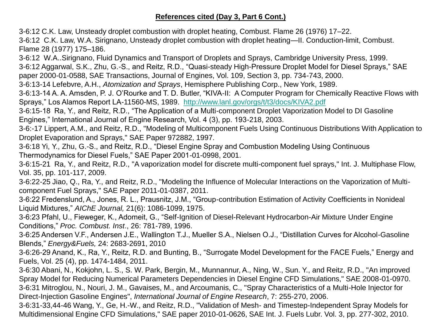## **References cited (Day 3, Part 6 Cont.)**

3-6:12 C.K. Law, Unsteady droplet combustion with droplet heating, Combust. Flame 26 (1976) 17–22.

3-6:12 C.K. Law, W.A. Sirignano, Unsteady droplet combustion with droplet heating—II. Conduction-limit, Combust. Flame 28 (1977) 175–186.

3-6:12 W.A..Sirignano, Fluid Dynamics and Transport of Droplets and Sprays, Cambridge University Press, 1999.

3-6:12 Aggarwal, S.K., Zhu, G.-S., and Reitz, R.D., "Quasi-steady High-Pressure Droplet Model for Diesel Sprays," SAE

paper 2000-01-0588, SAE Transactions, Journal of Engines, Vol. 109, Section 3, pp. 734-743, 2000.

3-6:13-14 Lefebvre, A.H., *Atomization and Sprays*, Hemisphere Publishing Corp., New York, 1989.

3-6:13-14 A. A. Amsden, P. J. O'Rourke and T. D. Butler, "KIVA-II: A Computer Program for Chemically Reactive Flows with Sprays," Los Alamos Report LA-11560-MS, 1989. <http://www.lanl.gov/orgs/t/t3/docs/KIVA2.pdf>

3-6:15-18 Ra, Y., and Reitz, R.D., "The Application of a Multi-component Droplet Vaporization Model to DI Gasoline Engines," International Journal of Engine Research, Vol. 4 (3), pp. 193-218, 2003.

3-6:-17 Lippert, A.M., and Reitz, R.D., "Modeling of Multicomponent Fuels Using Continuous Distributions With Application to Droplet Evaporation and Sprays," SAE Paper 972882, 1997.

3-6:18 Yi, Y., Zhu, G.-S., and Reitz, R.D., "Diesel Engine Spray and Combustion Modeling Using Continuous Thermodynamics for Diesel Fuels," SAE Paper 2001-01-0998, 2001.

3-6:15-21 Ra, Y., and Reitz, R.D., "A vaporization model for discrete multi-component fuel sprays," Int. J. Multiphase Flow, Vol. 35, pp. 101-117, 2009.

3-6:22-25 Jiao, Q., Ra, Y., and Reitz, R.D., "Modeling the Influence of Molecular Interactions on the Vaporization of Multicomponent Fuel Sprays," SAE Paper 2011-01-0387, 2011.

3-6:22 Fredenslund, A., Jones, R. L., Prausnitz, J.M., "Group-contribution Estimation of Activity Coefficients in Nonideal Liquid Mixtures," *AIChE Journal,* 21(6): 1086-1099, 1975.

3-6:23 Pfahl, U., Fieweger, K., Adomeit, G., "Self-Ignition of Diesel-Relevant Hydrocarbon-Air Mixture Under Engine Conditions," *Proc. Combust. Inst*., 26: 781-789, 1996.

3-6:25 Andersen V.F., Andersen J.E., Wallington T.J., Mueller S.A., Nielsen O.J., "Distillation Curves for Alcohol-Gasoline Blends," *Energy&Fuels,* 24: 2683-2691, 2010

3-6:26-29 Anand, K., Ra, Y., Reitz, R.D. and Bunting, B., "Surrogate Model Development for the FACE Fuels," Energy and Fuels, Vol. 25 (4), pp. 1474-1484, 2011.

3-6:30 Abani, N., Kokjohn, L. S., S. W. Park, Bergin, M., Munnannur, A., Ning, W., Sun. Y., and Reitz, R.D., "An improved Spray Model for Reducing Numerical Parameters Dependencies in Diesel Engine CFD Simulations," SAE 2008-01-0970. 3-6:31 Mitroglou, N., Nouri, J. M., Gavaises, M., and Arcoumanis, C., "Spray Characteristics of a Multi-Hole Injector for Direct-Injection Gasoline Engines", *International Journal of Engine Research*, 7: 255-270, 2006.

3-6:31-33,44-46 Wang, Y., Ge, H.-W., and Reitz, R.D., "Validation of Mesh- and Timestep-Independent Spray Models for Multidimensional Engine CFD Simulations," SAE paper 2010-01-0626, SAE Int. J. Fuels Lubr. Vol. 3, pp. 277-302, 2010.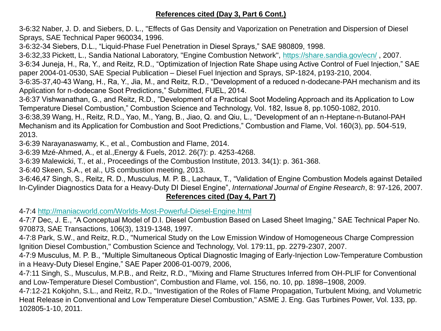# **References cited (Day 3, Part 6 Cont.)**

3-6:32 Naber, J. D. and Siebers, D. L., "Effects of Gas Density and Vaporization on Penetration and Dispersion of Diesel Sprays, SAE Technical Paper 960034, 1996.

3-6:32-34 Siebers, D.L., "Liquid-Phase Fuel Penetration in Diesel Sprays," SAE 980809, 1998.

3-6:32,33 Pickett, L., Sandia National Laboratory, "Engine Combustion Network", <https://share.sandia.gov/ecn/> , 2007.

3-6:34 Juneja, H., Ra, Y., and Reitz, R.D., "Optimization of Injection Rate Shape using Active Control of Fuel Injection," SAE paper 2004-01-0530, SAE Special Publication – Diesel Fuel Injection and Sprays, SP-1824, p193-210, 2004.

3-6:35-37,40-43 Wang, H., Ra, Y., Jia, M., and Reitz, R.D., "Development of a reduced n-dodecane-PAH mechanism and its Application for n-dodecane Soot Predictions," Submitted, FUEL, 2014.

3-6:37 Vishwanathan, G., and Reitz, R.D., "Development of a Practical Soot Modeling Approach and its Application to Low Temperature Diesel Combustion," Combustion Science and Technology, Vol. 182, Issue 8, pp.1050-1082, 2010.

3-6:38,39 Wang, H., Reitz, R.D., Yao, M., Yang, B., Jiao, Q. and Qiu, L., "Development of an n-Heptane-n-Butanol-PAH Mechanism and its Application for Combustion and Soot Predictions," Combustion and Flame, Vol. 160(3), pp. 504-519, 2013.

3-6:39 Narayanaswamy, K., et al., Combustion and Flame, 2014.

3-6:39 Mzé-Ahmed, A., et al.,Energy & Fuels, 2012. 26(7): p. 4253-4268.

3-6:39 Malewicki, T., et al., Proceedings of the Combustion Institute, 2013. 34(1): p. 361-368.

3-6:40 Skeen, S.A., et al., US combustion meeting, 2013.

3-6:46,47 Singh, S., Reitz, R. D., Musculus, M. P. B., Lachaux, T., "Validation of Engine Combustion Models against Detailed In-Cylinder Diagnostics Data for a Heavy-Duty DI Diesel Engine", *International Journal of Engine Research*, 8: 97-126, 2007.

# **References cited (Day 4, Part 7)**

4-7:4 <http://maniacworld.com/Worlds-Most-Powerful-Diesel-Engine.html>

4-7:7 Dec, J. E., "A Conceptual Model of D.I. Diesel Combustion Based on Lased Sheet Imaging," SAE Technical Paper No. 970873, SAE Transactions, 106(3), 1319-1348, 1997.

4-7:8 Park, S.W., and Reitz, R.D., "Numerical Study on the Low Emission Window of Homogeneous Charge Compression Ignition Diesel Combustion," Combustion Science and Technology, Vol. 179:11, pp. 2279-2307, 2007.

4-7:9 Musculus, M. P. B., "Multiple Simultaneous Optical Diagnostic Imaging of Early-Injection Low-Temperature Combustion in a Heavy-Duty Diesel Engine," SAE Paper 2006-01-0079, 2006,

4-7:11 Singh, S., Musculus, M.P.B., and Reitz, R.D., "Mixing and Flame Structures Inferred from OH-PLIF for Conventional and Low-Temperature Diesel Combustion", Combustion and Flame, vol. 156, no. 10, pp. 1898–1908, 2009.

4-7:12-21 Kokjohn, S.L., and Reitz, R.D., "Investigation of the Roles of Flame Propagation, Turbulent Mixing, and Volumetric Heat Release in Conventional and Low Temperature Diesel Combustion," ASME J. Eng. Gas Turbines Power, Vol. 133, pp. 102805-1-10, 2011.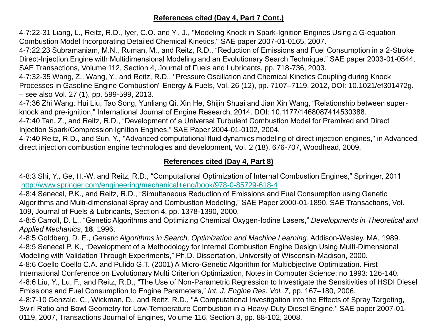# **References cited (Day 4, Part 7 Cont.)**

4-7:22-31 Liang, L., Reitz, R.D., Iyer, C.O. and Yi, J., "Modeling Knock in Spark-Ignition Engines Using a G-equation Combustion Model Incorporating Detailed Chemical Kinetics," SAE paper 2007-01-0165, 2007.

4-7:22,23 Subramaniam, M.N., Ruman, M., and Reitz, R.D., "Reduction of Emissions and Fuel Consumption in a 2-Stroke Direct-Injection Engine with Multidimensional Modeling and an Evolutionary Search Technique," SAE paper 2003-01-0544, SAE Transactions, Volume 112, Section 4, Journal of Fuels and Lubricants, pp. 718-736, 2003.

4-7:32-35 Wang, Z., Wang, Y., and Reitz, R.D., "Pressure Oscillation and Chemical Kinetics Coupling during Knock Processes in Gasoline Engine Combustion" Energy & Fuels, Vol. 26 (12), pp. 7107–7119, 2012, DOI: 10.1021/ef301472g. – see also Vol. 27 (1), pp. 599-599, 2013.

4-7:36 Zhi Wang, Hui Liu, Tao Song, Yunliang Qi, Xin He, Shijin Shuai and Jian Xin Wang, "Relationship between superknock and pre-ignition," International Journal of Engine Research, 2014. DOI: 10.1177/1468087414530388.

4-7:40 Tan, Z., and Reitz, R.D., "Development of a Universal Turbulent Combustion Model for Premixed and Direct Injection Spark/Compression Ignition Engines," SAE Paper 2004-01-0102, 2004.

4-7:40 Reitz, R.D., and Sun, Y., "Advanced computational fluid dynamics modeling of direct injection engines," in Advanced direct injection combustion engine technologies and development, Vol. 2 (18), 676-707, Woodhead, 2009.

# **References cited (Day 4, Part 8)**

4-8:3 Shi, Y., Ge, H.-W, and Reitz, R.D., "Computational Optimization of Internal Combustion Engines," Springer, 2011 <http://www.springer.com/engineering/mechanical+eng/book/978-0-85729-618-4>

4-8:4 Senecal, P.K., and Reitz, R.D., "Simultaneous Reduction of Emissions and Fuel Consumption using Genetic Algorithms and Multi-dimensional Spray and Combustion Modeling," SAE Paper 2000-01-1890, SAE Transactions, Vol. 109, Journal of Fuels & Lubricants, Section 4, pp. 1378-1390, 2000.

4-8:5 Carroll, D. L., "Genetic Algorithms and Optimizing Chemical Oxygen-Iodine Lasers," *Developments in Theoretical and Applied Mechanics*, **18**, 1996.

4-8:5 Goldberg, D. E., *Genetic Algorithms in Search, Optimization and Machine Learning*, Addison-Wesley, MA, 1989. 4-8:5 Senecal P. K., "Development of a Methodology for Internal Combustion Engine Design Using Multi-Dimensional Modeling with Validation Through Experiments," Ph.D. Dissertation, University of Wisconsin-Madison, 2000. 4-8:6 Coello Coello C.A. and Pulido G.T. (2001) A Micro-Genetic Algorithm for Multiobjective Optimization. First International Conference on Evolutionary Multi Criterion Optimization, Notes in Computer Science: no 1993: 126-140. 4-8:6 Liu, Y., Lu, F., and Reitz, R.D., "The Use of Non-Parametric Regression to Investigate the Sensitivities of HSDI Diesel Emissions and Fuel Consumption to Engine Parameters," *Int. J. Engine Res. Vol. 7*, pp. 167–180, 2006. 4-8:7-10 Genzale, C., Wickman, D., and Reitz, R.D., "A Computational Investigation into the Effects of Spray Targeting, Swirl Ratio and Bowl Geometry for Low-Temperature Combustion in a Heavy-Duty Diesel Engine," SAE paper 2007-01- 0119, 2007, Transactions Journal of Engines, Volume 116, Section 3, pp. 88-102, 2008.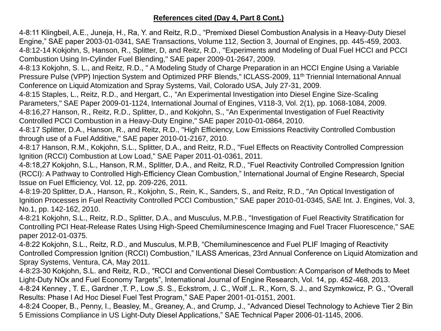## **References cited (Day 4, Part 8 Cont.)**

4-8:11 Klingbeil, A.E., Juneja, H., Ra, Y. and Reitz, R.D., "Premixed Diesel Combustion Analysis in a Heavy-Duty Diesel Engine," SAE paper 2003-01-0341, SAE Transactions, Volume 112, Section 3, Journal of Engines, pp. 445-459, 2003. 4-8:12-14 Kokjohn, S, Hanson, R., Splitter, D, and Reitz, R.D., "Experiments and Modeling of Dual Fuel HCCI and PCCI Combustion Using In-Cylinder Fuel Blending," SAE paper 2009-01-2647, 2009.

4-8:13 Kokjohn, S. L., and Reitz, R.D., " A Modeling Study of Charge Preparation in an HCCI Engine Using a Variable Pressure Pulse (VPP) Injection System and Optimized PRF Blends," ICLASS-2009, 11<sup>th</sup> Triennial International Annual Conference on Liquid Atomization and Spray Systems, Vail, Colorado USA, July 27-31, 2009.

4-8:15 Staples, L., Reitz, R.D., and Hergart, C., "An Experimental Investigation into Diesel Engine Size-Scaling Parameters," SAE Paper 2009-01-1124, International Journal of Engines, V118-3, Vol. 2(1), pp. 1068-1084, 2009. 4-8:16,27 Hanson, R., Reitz, R.D., Splitter, D., and Kokjohn, S., "An Experimental Investigation of Fuel Reactivity Controlled PCCI Combustion in a Heavy-Duty Engine," SAE paper 2010-01-0864, 2010.

4-8:17 Splitter, D.A., Hanson, R., and Reitz, R.D., "High Efficiency, Low Emissions Reactivity Controlled Combustion through use of a Fuel Additive," SAE paper 2010-01-2167, 2010.

4-8:17 Hanson, R.M., Kokjohn, S.L., Splitter, D.A., and Reitz, R.D., "Fuel Effects on Reactivity Controlled Compression Ignition (RCCI) Combustion at Low Load," SAE Paper 2011-01-0361, 2011.

4-8:18,27 Kokjohn, S.L., Hanson, R.M., Splitter, D.A., and Reitz, R.D., "Fuel Reactivity Controlled Compression Ignition (RCCI): A Pathway to Controlled High-Efficiency Clean Combustion," International Journal of Engine Research, Special Issue on Fuel Efficiency, Vol. 12, pp. 209-226, 2011.

4-8:19-20 Splitter, D.A., Hanson, R., Kokjohn, S., Rein, K., Sanders, S., and Reitz, R.D., "An Optical Investigation of Ignition Processes in Fuel Reactivity Controlled PCCI Combustion," SAE paper 2010-01-0345, SAE Int. J. Engines, Vol. 3, No.1, pp. 142-162, 2010.

4-8:21 Kokjohn, S.L., Reitz, R.D., Splitter, D.A., and Musculus, M.P.B., "Investigation of Fuel Reactivity Stratification for Controlling PCI Heat-Release Rates Using High-Speed Chemiluminescence Imaging and Fuel Tracer Fluorescence," SAE paper 2012-01-0375.

4-8:22 Kokjohn, S.L., Reitz, R.D., and Musculus, M.P.B, "Chemiluminescence and Fuel PLIF Imaging of Reactivity Controlled Compression Ignition (RCCI) Combustion," ILASS Americas, 23rd Annual Conference on Liquid Atomization and Spray Systems, Ventura, CA, May 2011.

4-8:23-30 Kokjohn, S.L. and Reitz, R.D., "RCCI and Conventional Diesel Combustion: A Comparison of Methods to Meet Light-Duty NOx and Fuel Economy Targets", International Journal of Engine Research, Vol. 14, pp. 452-468, 2013.

4-8:24 Kenney , T. E., Gardner ,T. P., Low ,S. S., Eckstrom, J. C., Wolf ,L. R., Korn, S. J., and Szymkowicz, P. G., "Overall Results: Phase I Ad Hoc Diesel Fuel Test Program," SAE Paper 2001-01-0151, 2001.

4-8:24 Cooper, B., Penny, I., Beasley, M., Greaney, A., and Crump, J., "Advanced Diesel Technology to Achieve Tier 2 Bin 5 Emissions Compliance in US Light-Duty Diesel Applications," SAE Technical Paper 2006-01-1145, 2006.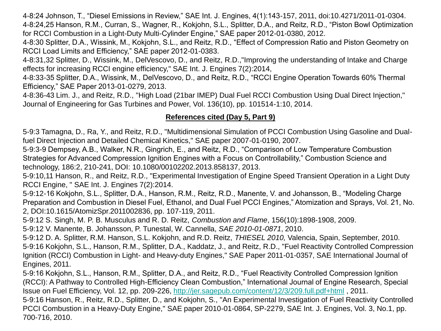4-8:24 Johnson, T., "Diesel Emissions in Review," SAE Int. J. Engines, 4(1):143-157, 2011, doi:10.4271/2011-01-0304. 4-8:24,25 Hanson, R.M., Curran, S., Wagner, R., Kokjohn, S.L., Splitter, D.A., and Reitz, R.D., "Piston Bowl Optimization for RCCI Combustion in a Light-Duty Multi-Cylinder Engine," SAE paper 2012-01-0380, 2012.

4-8:30 Splitter, D.A., Wissink, M., Kokjohn, S.L., and Reitz, R.D., "Effect of Compression Ratio and Piston Geometry on RCCI Load Limits and Efficiency," SAE paper 2012-01-0383.

4-8:31,32 Splitter, D., Wissink, M., DelVescovo, D., and Reitz, R.D.,"Improving the understanding of Intake and Charge effects for increasing RCCI engine efficiency," SAE Int. J. Engines 7(2):2014,

4-8:33-35 Splitter, D.A., Wissink, M., DelVescovo, D., and Reitz, R.D., "RCCI Engine Operation Towards 60% Thermal Efficiency," SAE Paper 2013-01-0279, 2013.

4-8:36-43 Lim. J., and Reitz, R.D., "High Load (21bar IMEP) Dual Fuel RCCI Combustion Using Dual Direct Injection," Journal of Engineering for Gas Turbines and Power, Vol. 136(10), pp. 101514-1:10, 2014.

# **References cited (Day 5, Part 9)**

5-9:3 Tamagna, D., Ra, Y., and Reitz, R.D., "Multidimensional Simulation of PCCI Combustion Using Gasoline and Dualfuel Direct Injection and Detailed Chemical Kinetics," SAE paper 2007-01-0190, 2007.

5-9:3-9 Dempsey, A.B., Walker, N.R., Gingrich, E., and Reitz, R.D., "Comparison of Low Temperature Combustion Strategies for Advanced Compression Ignition Engines with a Focus on Controllability," Combustion Science and technology, 186:2, 210-241, DOI: 10.1080/00102202.2013.858137, 2013.

5-9:10,11 Hanson, R., and Reitz, R.D., "Experimental Investigation of Engine Speed Transient Operation in a Light Duty RCCI Engine, " SAE Int. J. Engines 7(2):2014.

5-9:12-16 Kokjohn, S.L., Splitter, D.A., Hanson, R.M., Reitz, R.D., Manente, V. and Johansson, B., "Modeling Charge Preparation and Combustion in Diesel Fuel, Ethanol, and Dual Fuel PCCI Engines," Atomization and Sprays, Vol. 21, No. 2, DOI:10.1615/AtomizSpr.2011002836, pp. 107-119, 2011.

5-9:12 S. Singh, M. P. B. Musculus and R. D. Reitz, *Combustion and Flame*, 156(10):1898-1908, 2009.

5-9:12 V. Manente, B. Johansson, P. Tunestal, W. Cannella, *SAE 2010-01-0871*, 2010.

5-9:12 D. A. Splitter, R.M. Hanson, S.L. Kokjohn, and R.D. Reitz, *THIESEL 2010,* Valencia, Spain, September, 2010. 5-9:16 Kokjohn, S.L., Hanson, R.M., Splitter, D.A., Kaddatz, J., and Reitz, R.D., "Fuel Reactivity Controlled Compression Ignition (RCCI) Combustion in Light- and Heavy-duty Engines," SAE Paper 2011-01-0357, SAE International Journal of Engines, 2011.

5-9:16 Kokjohn, S.L., Hanson, R.M., Splitter, D.A., and Reitz, R.D., "Fuel Reactivity Controlled Compression Ignition (RCCI): A Pathway to Controlled High-Efficiency Clean Combustion," International Journal of Engine Research, Special Issue on Fuel Efficiency, Vol. 12, pp. 209-226,<http://jer.sagepub.com/content/12/3/209.full.pdf+html> , 2011. 5-9:16 Hanson, R., Reitz, R.D., Splitter, D., and Kokjohn, S., "An Experimental Investigation of Fuel Reactivity Controlled PCCI Combustion in a Heavy-Duty Engine," SAE paper 2010-01-0864, SP-2279, SAE Int. J. Engines, Vol. 3, No.1, pp. 700-716, 2010.